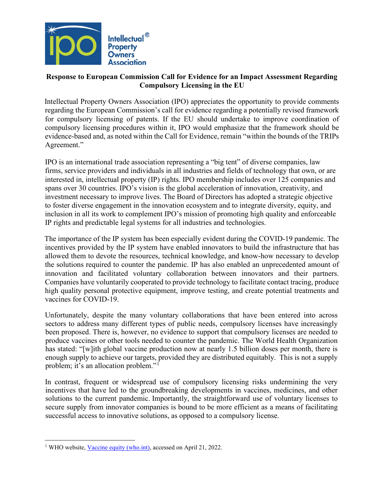

## **Response to European Commission Call for Evidence for an Impact Assessment Regarding Compulsory Licensing in the EU**

Intellectual Property Owners Association (IPO) appreciates the opportunity to provide comments regarding the European Commission's call for evidence regarding a potentially revised framework for compulsory licensing of patents. If the EU should undertake to improve coordination of compulsory licensing procedures within it, IPO would emphasize that the framework should be evidence-based and, as noted within the Call for Evidence, remain "within the bounds of the TRIPs Agreement."

IPO is an international trade association representing a "big tent" of diverse companies, law firms, service providers and individuals in all industries and fields of technology that own, or are interested in, intellectual property (IP) rights. IPO membership includes over 125 companies and spans over 30 countries. IPO's vision is the global acceleration of innovation, creativity, and investment necessary to improve lives. The Board of Directors has adopted a strategic objective to foster diverse engagement in the innovation ecosystem and to integrate diversity, equity, and inclusion in all its work to complement IPO's mission of promoting high quality and enforceable IP rights and predictable legal systems for all industries and technologies.

The importance of the IP system has been especially evident during the COVID-19 pandemic. The incentives provided by the IP system have enabled innovators to build the infrastructure that has allowed them to devote the resources, technical knowledge, and know-how necessary to develop the solutions required to counter the pandemic. IP has also enabled an unprecedented amount of innovation and facilitated voluntary collaboration between innovators and their partners. Companies have voluntarily cooperated to provide technology to facilitate contact tracing, produce high quality personal protective equipment, improve testing, and create potential treatments and vaccines for COVID-19.

Unfortunately, despite the many voluntary collaborations that have been entered into across sectors to address many different types of public needs, compulsory licenses have increasingly been proposed. There is, however, no evidence to support that compulsory licenses are needed to produce vaccines or other tools needed to counter the pandemic. The World Health Organization has stated: "[w]ith global vaccine production now at nearly 1.5 billion doses per month, there is enough supply to achieve our targets, provided they are distributed equitably. This is not a supply problem; it's an allocation problem."[1](#page-0-0)

In contrast, frequent or widespread use of compulsory licensing risks undermining the very incentives that have led to the groundbreaking developments in vaccines, medicines, and other solutions to the current pandemic. Importantly, the straightforward use of voluntary licenses to secure supply from innovator companies is bound to be more efficient as a means of facilitating successful access to innovative solutions, as opposed to a compulsory license.

<span id="page-0-0"></span><sup>&</sup>lt;sup>1</sup> WHO website[, Vaccine equity \(who.int\),](https://www.who.int/campaigns/vaccine-equity) accessed on April 21, 2022.